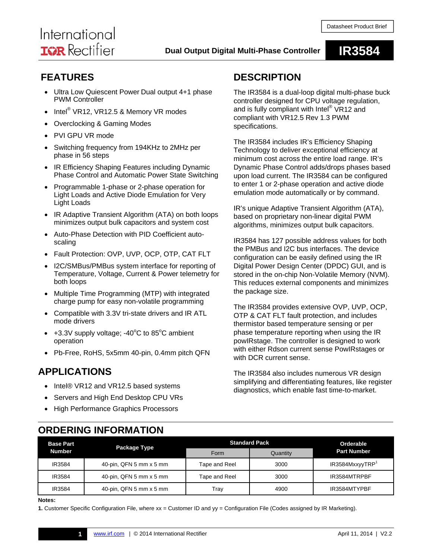# International **ISR** Rectifier

## **Dual Output Digital Multi-Phase Controller IR3584**

### **FEATURES**

- Ultra Low Quiescent Power Dual output 4+1 phase PWM Controller
- $\bullet$  Intel® VR12, VR12.5 & Memory VR modes
- Overclocking & Gaming Modes
- PVI GPU VR mode
- Switching frequency from 194KHz to 2MHz per phase in 56 steps
- IR Efficiency Shaping Features including Dynamic Phase Control and Automatic Power State Switching
- Programmable 1-phase or 2-phase operation for Light Loads and Active Diode Emulation for Very Light Loads
- IR Adaptive Transient Algorithm (ATA) on both loops minimizes output bulk capacitors and system cost
- Auto-Phase Detection with PID Coefficient autoscaling
- Fault Protection: OVP, UVP, OCP, OTP, CAT FLT
- I2C/SMBus/PMBus system interface for reporting of Temperature, Voltage, Current & Power telemetry for both loops
- Multiple Time Programming (MTP) with integrated charge pump for easy non-volatile programming
- Compatible with 3.3V tri-state drivers and IR ATL mode drivers
- $\bullet$  +3.3V supply voltage; -40°C to 85°C ambient operation
- Pb-Free, RoHS, 5x5mm 40-pin, 0.4mm pitch QFN

### **APPLICATIONS**

- Intel® VR12 and VR12.5 based systems
- Servers and High End Desktop CPU VRs
- High Performance Graphics Processors

### **DESCRIPTION**

The IR3584 is a dual-loop digital multi-phase buck controller designed for CPU voltage regulation, and is fully compliant with Intel® VR12 and compliant with VR12.5 Rev 1.3 PWM specifications.

The IR3584 includes IR's Efficiency Shaping Technology to deliver exceptional efficiency at minimum cost across the entire load range. IR's Dynamic Phase Control adds/drops phases based upon load current. The IR3584 can be configured to enter 1 or 2-phase operation and active diode emulation mode automatically or by command.

IR's unique Adaptive Transient Algorithm (ATA), based on proprietary non-linear digital PWM algorithms, minimizes output bulk capacitors.

IR3584 has 127 possible address values for both the PMBus and I2C bus interfaces. The device configuration can be easily defined using the IR Digital Power Design Center (DPDC) GUI, and is stored in the on-chip Non-Volatile Memory (NVM). This reduces external components and minimizes the package size.

The IR3584 provides extensive OVP, UVP, OCP, OTP & CAT FLT fault protection, and includes thermistor based temperature sensing or per phase temperature reporting when using the IR powIRstage. The controller is designed to work with either Rdson current sense PowIRstages or with DCR current sense.

The IR3584 also includes numerous VR design simplifying and differentiating features, like register diagnostics, which enable fast time-to-market.

### **ORDERING INFORMATION**

| <b>Base Part</b><br><b>Number</b> | Package Type                                   | <b>Standard Pack</b> |          | Orderable                   |
|-----------------------------------|------------------------------------------------|----------------------|----------|-----------------------------|
|                                   |                                                | Form                 | Quantity | <b>Part Number</b>          |
| IR3584                            | 40-pin, QFN 5 mm x 5 mm                        | Tape and Reel        | 3000     | IR3584MxxyyTRP <sup>1</sup> |
| IR3584                            | 40-pin, QFN 5 mm x 5 mm                        | Tape and Reel        | 3000     | IR3584MTRPBF                |
| IR3584                            | 40-pin, QFN $5 \text{ mm} \times 5 \text{ mm}$ | Tray                 | 4900     | IR3584MTYPBF                |

### **Notes:**

Ī

**1.** Customer Specific Configuration File, where xx = Customer ID and yy = Configuration File (Codes assigned by IR Marketing).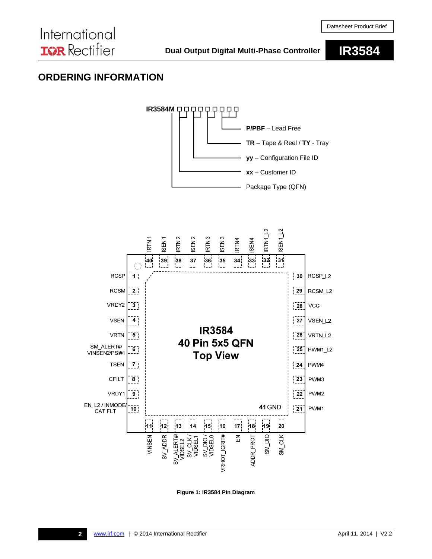### **ORDERING INFORMATION**



**Figure 1: IR3584 Pin Diagram**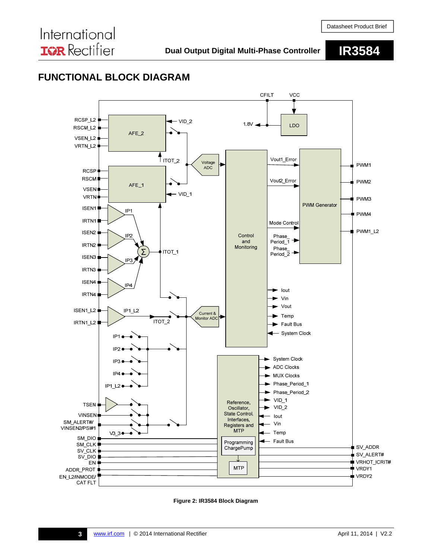### **FUNCTIONAL BLOCK DIAGRAM**



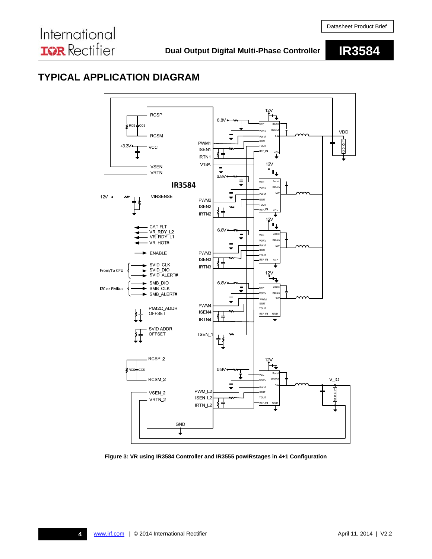### **TYPICAL APPLICATION DIAGRAM**



**Figure 3: VR using IR3584 Controller and IR3555 powIRstages in 4+1 Configuration**